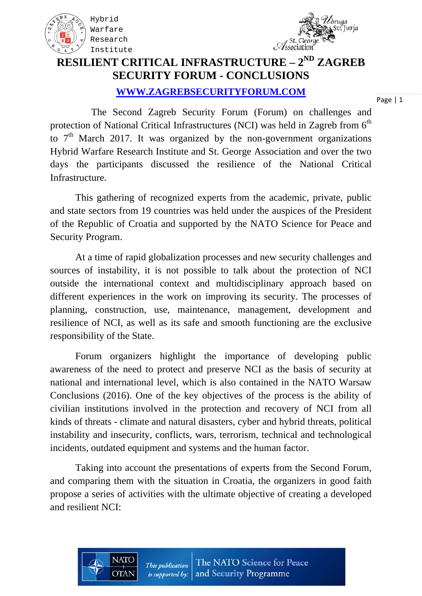



### **RESILIENT CRITICAL INFRASTRUCTURE – 2ND ZAGREB SECURITY FORUM - CONCLUSIONS**

#### **WWW.ZAGREBSECURITYFORUM.COM**

Page | 1

 The Second Zagreb Security Forum (Forum) on challenges and protection of National Critical Infrastructures (NCI) was held in Zagreb from  $6<sup>th</sup>$ to  $7<sup>th</sup>$  March 2017. It was organized by the non-government organizations Hybrid Warfare Research Institute and St. George Association and over the two days the participants discussed the resilience of the National Critical Infrastructure.

This gathering of recognized experts from the academic, private, public and state sectors from 19 countries was held under the auspices of the President of the Republic of Croatia and supported by the NATO Science for Peace and Security Program.

At a time of rapid globalization processes and new security challenges and sources of instability, it is not possible to talk about the protection of NCI outside the international context and multidisciplinary approach based on different experiences in the work on improving its security. The processes of planning, construction, use, maintenance, management, development and resilience of NCI, as well as its safe and smooth functioning are the exclusive responsibility of the State.

Forum organizers highlight the importance of developing public awareness of the need to protect and preserve NCI as the basis of security at national and international level, which is also contained in the NATO Warsaw Conclusions (2016). One of the key objectives of the process is the ability of civilian institutions involved in the protection and recovery of NCI from all kinds of threats - climate and natural disasters, cyber and hybrid threats, political instability and insecurity, conflicts, wars, terrorism, technical and technological incidents, outdated equipment and systems and the human factor.

Taking into account the presentations of experts from the Second Forum, and comparing them with the situation in Croatia, the organizers in good faith propose a series of activities with the ultimate objective of creating a developed and resilient NCI:

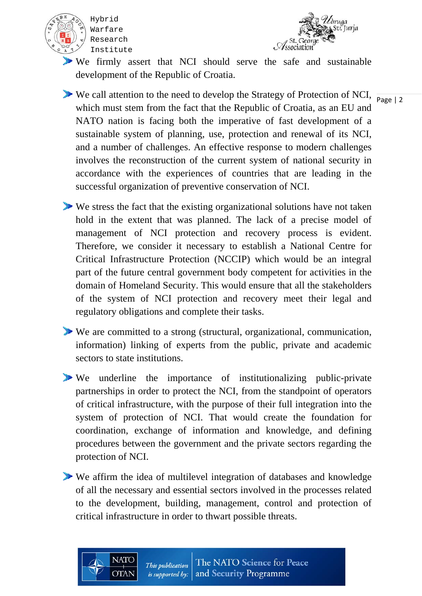



- We firmly assert that NCI should serve the safe and sustainable development of the Republic of Croatia.
- We call attention to the need to develop the Strategy of Protection of NCI,  $\frac{P_{\text{age}}}{P_{\text{age}} + 2}$ which must stem from the fact that the Republic of Croatia, as an EU and NATO nation is facing both the imperative of fast development of a sustainable system of planning, use, protection and renewal of its NCI, and a number of challenges. An effective response to modern challenges involves the reconstruction of the current system of national security in accordance with the experiences of countries that are leading in the successful organization of preventive conservation of NCI.
- We stress the fact that the existing organizational solutions have not taken hold in the extent that was planned. The lack of a precise model of management of NCI protection and recovery process is evident. Therefore, we consider it necessary to establish a National Centre for Critical Infrastructure Protection (NCCIP) which would be an integral part of the future central government body competent for activities in the domain of Homeland Security. This would ensure that all the stakeholders of the system of NCI protection and recovery meet their legal and regulatory obligations and complete their tasks.
- We are committed to a strong (structural, organizational, communication, information) linking of experts from the public, private and academic sectors to state institutions.
- We underline the importance of institutionalizing public-private partnerships in order to protect the NCI, from the standpoint of operators of critical infrastructure, with the purpose of their full integration into the system of protection of NCI. That would create the foundation for coordination, exchange of information and knowledge, and defining procedures between the government and the private sectors regarding the protection of NCI.
- We affirm the idea of multilevel integration of databases and knowledge of all the necessary and essential sectors involved in the processes related to the development, building, management, control and protection of critical infrastructure in order to thwart possible threats.

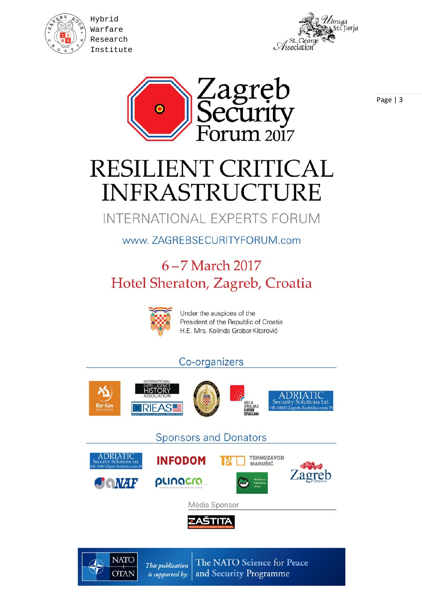

Hybrid Warfare Research Institute





# RESILIENT CRITICAL **INFRASTRUCTURE**

Zagręb

ecurity

<u>าบท 2017</u>

## INTERNATIONAL EXPERTS FORUM

## www.ZAGREBSECURITYFORUM.com

## 6-7 March 2017 Hotel Sheraton, Zagreb, Croatia



Under the auspices of the President of the Republic of Croatia H.E. Mrs. Kolinda Grabar-Kitarović

#### Co-organizers





The NATO Science for Peace This publication and Security Programme is supported by: